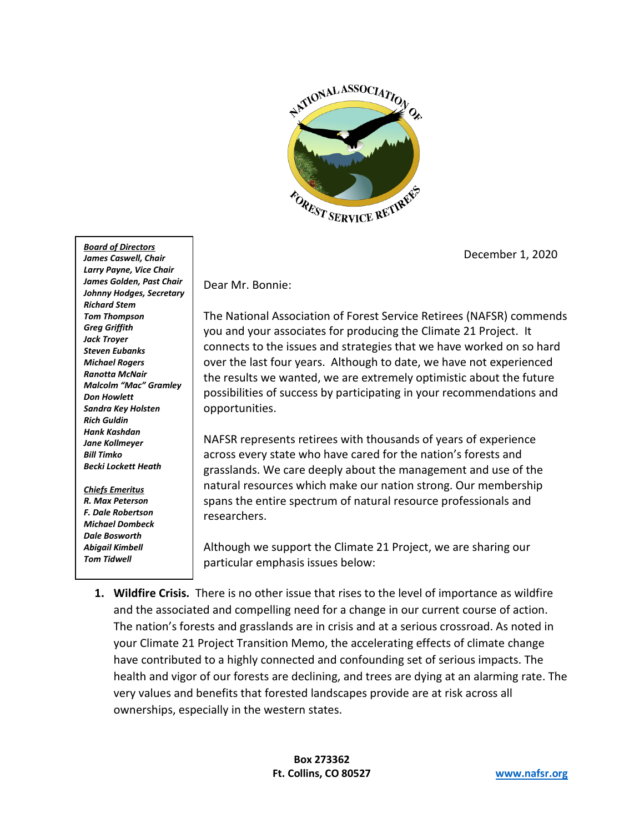

December 1, 2020

*Board of Directors James Caswell, Chair Larry Payne, Vice Chair James Golden, Past Chair Johnny Hodges, Secretary Richard Stem Tom Thompson Greg Griffith Jack Troyer Steven Eubanks Michael Rogers Ranotta McNair Malcolm "Mac" Gramley Don Howlett Sandra Key Holsten Rich Guldin Hank Kashdan Jane Kollmeyer Bill Timko Becki Lockett Heath*

*Chiefs Emeritus R. Max Peterson F. Dale Robertson Michael Dombeck Dale Bosworth Abigail Kimbell Tom Tidwell*

Dear Mr. Bonnie:

The National Association of Forest Service Retirees (NAFSR) commends you and your associates for producing the Climate 21 Project. It connects to the issues and strategies that we have worked on so hard over the last four years. Although to date, we have not experienced the results we wanted, we are extremely optimistic about the future possibilities of success by participating in your recommendations and opportunities.

NAFSR represents retirees with thousands of years of experience across every state who have cared for the nation's forests and grasslands. We care deeply about the management and use of the natural resources which make our nation strong. Our membership spans the entire spectrum of natural resource professionals and researchers.

Although we support the Climate 21 Project, we are sharing our particular emphasis issues below:

**1. Wildfire Crisis.** There is no other issue that rises to the level of importance as wildfire and the associated and compelling need for a change in our current course of action. The nation's forests and grasslands are in crisis and at a serious crossroad. As noted in your Climate 21 Project Transition Memo, the accelerating effects of climate change have contributed to a highly connected and confounding set of serious impacts. The health and vigor of our forests are declining, and trees are dying at an alarming rate. The very values and benefits that forested landscapes provide are at risk across all ownerships, especially in the western states.